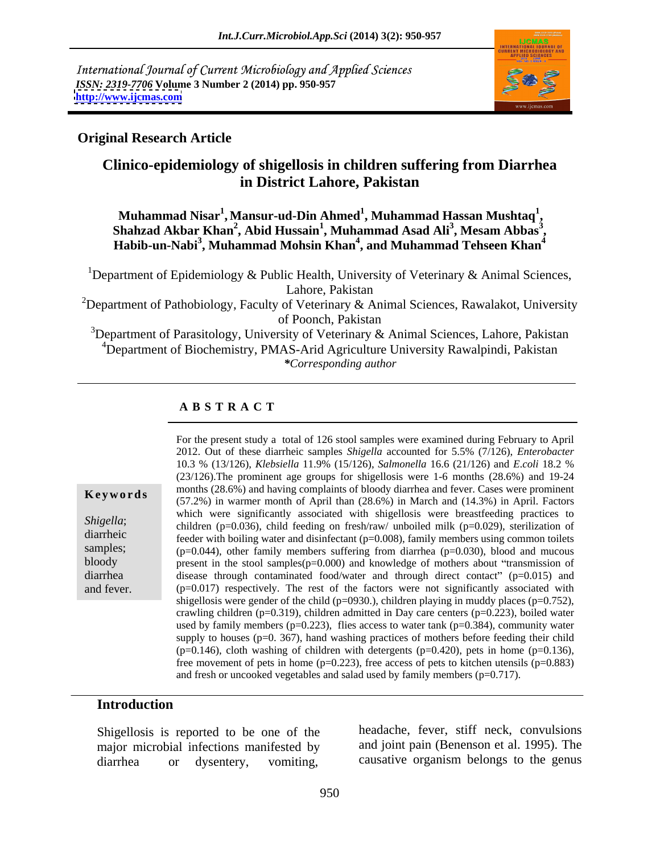International Journal of Current Microbiology and Applied Sciences *ISSN: 2319-7706* **Volume 3 Number 2 (2014) pp. 950-957 <http://www.ijcmas.com>**



## **Original Research Article**

# **Clinico-epidemiology of shigellosis in children suffering from Diarrhea in District Lahore, Pakistan**

**Muhammad Nisar<sup>1</sup> , Mansur-ud-Din Ahmed<sup>1</sup> , Muhammad Hassan Mushtaq<sup>1</sup>** Muhammad Nisar<sup>1</sup>, Mansur-ud-Din Ahmed<sup>1</sup>, Muhammad Hassan Mushtaq<sup>1</sup>,<br>Shahzad Akbar Khan<sup>2</sup>, Abid Hussain<sup>1</sup>, Muhammad Asad Ali<sup>3</sup>, Mesam Abbas<sup>3</sup>,<br>Habib-un-Nabi<sup>3</sup>, Muhammad Mohsin Khan<sup>4</sup>, and Muhammad Tehseen Khan<sup>4</sup> **, Mesam Abbas<sup>3</sup>**

<sup>1</sup>Department of Epidemiology & Public Health, University of Veterinary & Animal Sciences, Lahore, Pakistan

<sup>2</sup>Department of Pathobiology, Faculty of Veterinary & Animal Sciences, Rawalakot, University of Poonch, Pakistan

<sup>3</sup>Department of Parasitology, University of Veterinary  $\&$  Animal Sciences, Lahore, Pakistan <sup>4</sup>Department of Biochemistry, PMAS-Arid Agriculture University Rawalpindi, Pakistan *\*Corresponding author*

## **A B S T R A C T**

**Key words** infidulties (28.0%) and having complaints of bloody diatrica and fever. Cases were profilment (57.2%) in warmer month of April than (28.6%) in March and (14.3%) in April. Factors *Shigella*; children (p=0.036), child feeding on fresh/raw/ unboiled milk (p=0.029), sterilization of diarrheic feeder with boiling water and disinfectant (p=0.008), family members using common toilets samples;  $(p=0.044)$ , other family members suffering from diarrhea  $(p=0.030)$ , blood and mucous bloody present in the stool samples(p=0.000) and knowledge of mothers about "transmission of diarrhea disease through contaminated food/water and through direct contact" (p=0.015) and For the present study a total of 126 stool samples were examined during February to April<br>
2012. Out of these diarrheic samples *Shigella* accounted for 5.5% (7/126), *Etherobacter*<br>
10.3 % (13/126), *Klebsiella* 11.9% (1 2012. Out of these diarrheic samples *Shigella* accounted for 5.5% (7/126), *Enterobacter* 10.3 % (13/126), *Klebsiella* 11.9% (15/126), *Salmonella* 16.6 (21/126) and *E*.*coli* 18.2 % (23/126).The prominent age groups for shigellosis were 1-6 months (28.6%) and 19-24 months (28.6%) and having complaints of bloody diarrhea and fever. Cases were prominent which were significantly associated with shigellosis were breastfeeding practices to  $(p=0.017)$  respectively. The rest of the factors were not significantly associated with shigellosis were gender of the child ( $p=0930$ .), children playing in muddy places ( $p=0.752$ ), crawling children ( $p=0.319$ ), children admitted in Day care centers ( $p=0.223$ ), boiled water used by family members ( $p=0.223$ ), flies access to water tank ( $p=0.384$ ), community water supply to houses ( $p=0.367$ ), hand washing practices of mothers before feeding their child  $(p=0.146)$ , cloth washing of children with detergents  $(p=0.420)$ , pets in home  $(p=0.136)$ , free movement of pets in home  $(p=0.223)$ , free access of pets to kitchen utensils  $(p=0.883)$ and fresh or uncooked vegetables and salad used by family members (p=0.717).

### **Introduction**

Shigellosis is reported to be one of the major microbial infections manifested by diarrhea or dysentery, vomiting, causative organism belongs to the genus

headache, fever, stiff neck, convulsions and joint pain (Benenson et al. 1995). The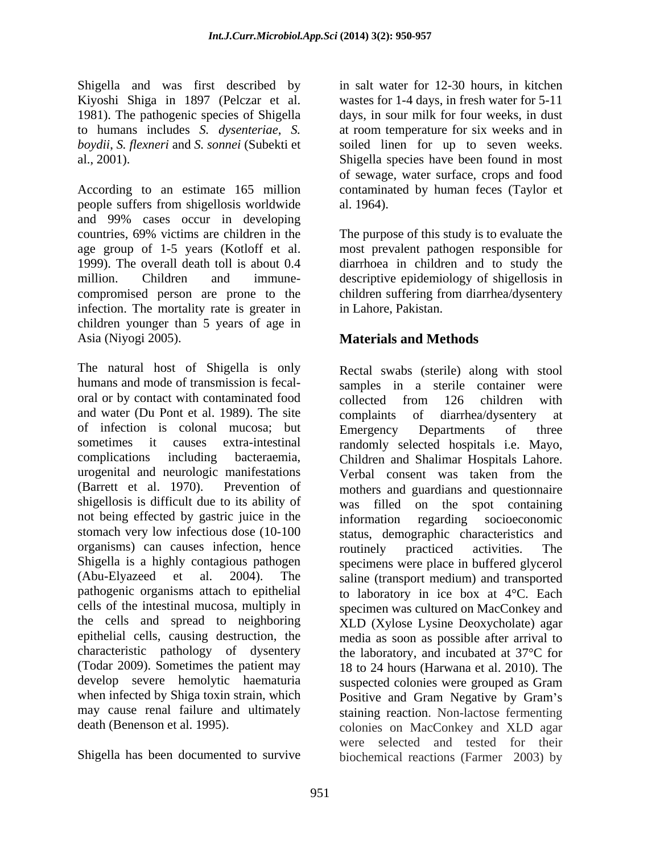Shigella and was first described by Kiyoshi Shiga in 1897 (Pelczar et al.

According to an estimate 165 million contaminated by human feces (Taylor et people suffers from shigellosis worldwide al. 1964). and 99% cases occur in developing countries, 69% victims are children in the The purpose of this study is to evaluate the age group of 1-5 years (Kotloff et al. most prevalent pathogen responsible for 1999). The overall death toll is about 0.4 diarrhoea in children and to study the million. Children and immune- descriptive epidemiology of shigellosis in compromised person are prone to the children suffering from diarrhea/dysentery infection. The mortality rate is greater in children younger than 5 years of age in Asia (Niyogi 2005). **Materials and Methods**

The natural host of Shigella is only oral or by contact with contaminated food collected from 126 children with and water (Du Pont et al. 1989). The site complaints of diarrhea/dysentery at of infection is colonal mucosa; but urogenital and neurologic manifestations (Barrett et al. 1970). Prevention of not being effected by gastric juice in the organisms) can causes infection, hence routinely practiced activities. The develop severe hemolytic haematuria suspected colonies were grouped as Gram when infected by Shiga toxin strain, which Positive and Gram Negative by Gram's

1981). The pathogenic species of Shigella days, in sour milk for four weeks, in dust to humans includes *S. dysenteriae*, *S.*  at room temperature for six weeks and in *boydii*, *S. flexneri* and *S. sonnei* (Subekti et soiled linen for up to seven weeks. al., 2001). Shigella species have been found in most in salt water for 12-30 hours, in kitchen wastes for 1-4 days, in fresh water for 5-11 of sewage, water surface, crops and food al. 1964).

in Lahore, Pakistan.

humans and mode of transmission is fecal-<br>samples in a sterile container were sometimes it causes extra-intestinal randomly selected hospitals i.e. Mayo, complications including bacteraemia, Children and Shalimar Hospitals Lahore. shigellosis is difficult due to its ability of was filled on the spot containing stomach very low infectious dose (10-100 status, demographic characteristics and Shigella is a highly contagious pathogen specimens were place in buffered glycerol (Abu-Elyazeed et al. 2004). The saline (transport medium) and transported pathogenic organisms attach to epithelial to laboratory in ice box at 4°C. Each cells of the intestinal mucosa, multiply in specimen was cultured on MacConkey and the cells and spread to neighboring XLD (Xylose Lysine Deoxycholate) agar epithelial cells, causing destruction, the media as soon as possible after arrival to characteristic pathology of dysentery the laboratory, and incubated at 37°C for (Todar 2009). Sometimes the patient may 18 to 24 hours (Harwana et al. 2010). The may cause renal failure and ultimately staining reaction. Non-lactose fermenting death (Benenson et al. 1995). colonies on MacConkey and XLD agar Shigella has been documented to survive biochemical reactions (Farmer 2003) byRectal swabs (sterile) along with stool collected from 126 children with complaints of diarrhea/dysentery at Emergency Departments of three Verbal consent was taken from the mothers and guardians and questionnaire regarding socioeconomic routinely practiced activities. The suspected colonies were grouped as Gram Positive and Gram Negative by Gram's were selected and tested for their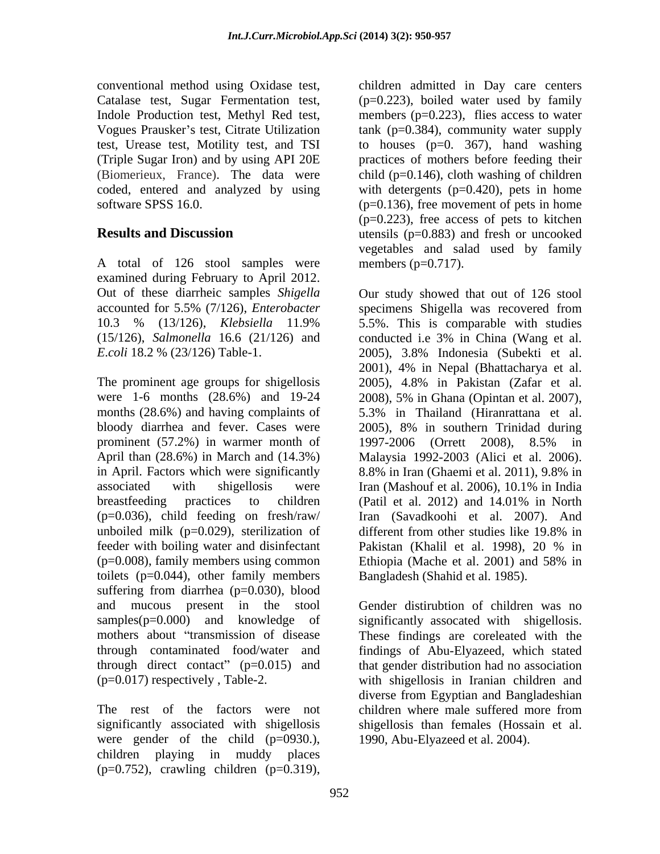A total of 126 stool samples were examined during February to April 2012.

The prominent age groups for shigellosis months (28.6%) and having complaints of 5.3% in Thailand (Hiranrattana et al. prominent (57.2%) in warmer month of 1997-2006 (Orrett 2008), 8.5% in in April. Factors which were significantly 8.8% in Iran (Ghaemi et al. 2011), 9.8% in associated with shigellosis were Iran (Mashouf et al. 2006), 10.1% in India breastfeeding practices to children (Patil et al. 2012) and 14.01% in North unboiled milk ( $p=0.029$ ), sterilization of different from other studies like 19.8% in feeder with boiling water and disinfectant Pakistan (Khalil et al. 1998), 20 % in (p=0.008), family members using common Ethiopia (Mache et al. 2001) and 58% in toilets  $(p=0.044)$ , other family members suffering from diarrhea (p=0.030), blood and mucous present in the stool samples(p=0.000) and knowledge of significantly assocated with shigellosis. mothers about "transmission of disease These findings are coreleated with the through contaminated food/water and findings of Abu-Elyazeed, which stated through direct contact"  $(p=0.015)$  and that gender distribution had no association (p=0.017) respectively , Table-2. with shigellosis in Iranian children and

The rest of the factors were not children where male suffered more from were gender of the child (p=0930.), children playing in muddy places  $(p=0.752)$ , crawling children  $(p=0.319)$ ,

conventional method using Oxidase test, children admitted in Day care centers Catalase test, Sugar Fermentation test, (p=0.223), boiled water used by family Indole Production test, Methyl Red test, members (p=0.223), flies access to water Vogues Prausker's test, Citrate Utilization tank (p=0.384), community water supply test, Urease test, Motility test, and TSI to houses (p=0. 367), hand washing (Triple Sugar Iron) and by using API 20E practices of mothers before feeding their (Biomerieux, France). The data were child (p=0.146), cloth washing of children coded, entered and analyzed by using with detergents (p=0.420), pets in home software SPSS 16.0. (p=0.136), free movement of pets in home **Results and Discussion utensils** (p=0.883) and fresh or uncooked  $(p=0.223)$ , free access of pets to kitchen vegetables and salad used by family members  $(p=0.717)$ .

Out of these diarrheic samples *Shigella* Our study showed that out of 126 stool accounted for 5.5% (7/126), *Enterobacter* specimens Shigella was recovered from 10.3 % (13/126), *Klebsiella* 11.9% (15/126), *Salmonella* 16.6 (21/126) and conducted i.e 3% in China (Wang et al. *E*.*coli* 18.2 % (23/126) Table-1. 2005), 3.8% Indonesia (Subekti et al. were 1-6 months (28.6%) and 19-24 2008), 5% in Ghana (Opintan et al. 2007), bloody diarrhea and fever. Cases were 2005), 8% in southern Trinidad during April than (28.6%) in March and (14.3%) Malaysia 1992-2003 (Alici et al. 2006). (p=0.036), child feeding on fresh/raw/ Iran (Savadkoohi et al. 2007). And 5.5%. This is comparable with studies 2001), 4% in Nepal (Bhattacharya et al. 2005), 4.8% in Pakistan (Zafar et al. 5.3% in Thailand (Hiranrattana et al. 1997-2006 (Orrett 2008), 8.5% in 8.8% in Iran (Ghaemi et al. 2011), 9.8% in Iran (Mashouf et al. 2006), 10.1% in India (Patil et al. 2012) and 14.01% in North different from other studies like 19.8% in Pakistan (Khalil et al. 1998), 20 % in Ethiopia (Mache et al. 2001) and 58% in Bangladesh (Shahid et al. 1985).

significantly associated with shigellosis shigellosis than females (Hossain et al. Gender distirubtion of children was no diverse from Egyptian and Bangladeshian children where male suffered more from 1990, Abu-Elyazeed et al. 2004).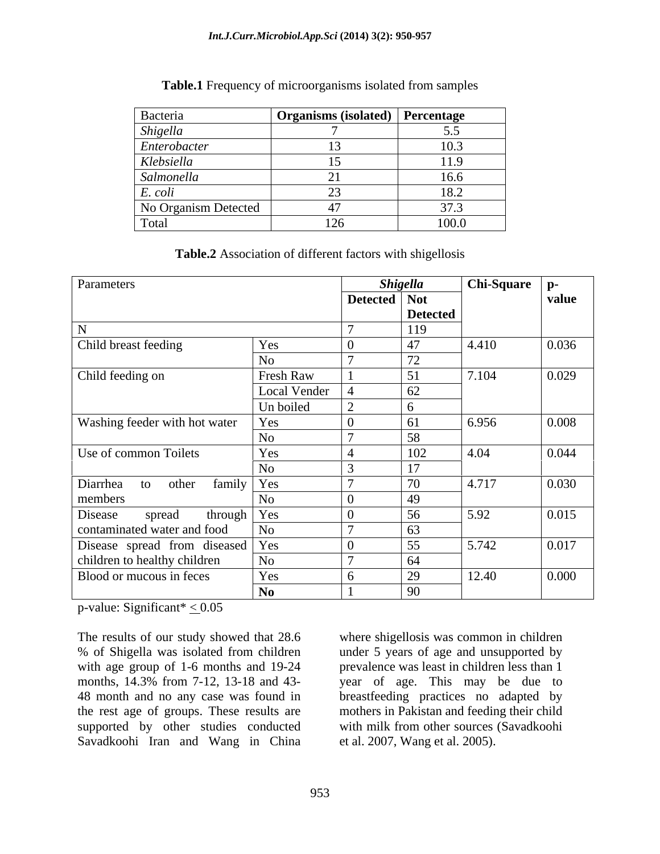| Bacteria             | Organisms (isolated)   Percentage |       |
|----------------------|-----------------------------------|-------|
| Shigella             |                                   | ັ.~   |
| Enterobacter         |                                   | 10.3  |
| Klebsiella           |                                   | 11.5  |
| Salmonella           |                                   | 16.6  |
| E. coli              |                                   | 18.2  |
| No Organism Detected |                                   | 37.3  |
| Total                | 126                               | 100.0 |

**Table.1** Frequency of microorganisms isolated from samples

**Table.2** Association of different factors with shigellosis

| Parameters                               |                | Shigella       |                 | <b>Chi-Square</b> | $ p-$ |
|------------------------------------------|----------------|----------------|-----------------|-------------------|-------|
|                                          |                | Detected   Not |                 |                   | value |
|                                          |                |                | <b>Detected</b> |                   |       |
| <b>NT</b>                                |                |                | 119             |                   |       |
| Child breast feeding                     | Yes            |                | 47              | 4.410             | 0.036 |
|                                          | N <sub>o</sub> |                | 72              |                   |       |
| Child feeding on                         | Fresh Raw      |                | $\mathcal{L}$ 1 | 7.104             | 0.029 |
|                                          | Local Vender   |                | 62              |                   |       |
|                                          | Un boiled      |                |                 |                   |       |
| Washing feeder with hot water            | Yes            |                |                 | 6.956             | 0.008 |
|                                          | No             |                | 58              |                   |       |
| Use of common Toilets                    | Yes            |                | 102             | 4.04              | 0.044 |
|                                          | N <sub>o</sub> |                | 17              |                   |       |
| family Yes<br>Diarrhea to other          |                |                | 70              | 4.717             | 0.030 |
| members                                  | No.            |                | 49              |                   |       |
| Disease<br>through $\vert$ Yes<br>spread |                |                | 56              | 5.92              | 0.015 |
| contaminated water and food              | <b>No</b>      |                | 63              |                   |       |
| Disease spread from diseased Yes         |                |                | 55              | 5.742             | 0.017 |
| children to healthy children             | No             |                | 64              |                   |       |
| Blood or mucous in feces                 | Yes            |                | 29              | 12.40             | 0.000 |
|                                          |                |                |                 |                   |       |
|                                          | N <sub>0</sub> |                | 90              |                   |       |

p-value: Significant\*  $\leq 0.05$ 

The results of our study showed that 28.6 where shigellosis was common in children % of Shigella was isolated from children under 5 years of age and unsupported by with age group of 1-6 months and 19-24 prevalence was least in children less than 1 months, 14.3% from 7-12, 13-18 and 43- year of age. This may be due to 48 month and no any case was found in breastfeeding practices no adapted by the rest age of groups. These results are mothers in Pakistan and feeding their child supported by other studies conducted with milk from other sources (Savadkoohi Savadkoohi Iran and Wang in China

with milk from other sources (Savadkoohi et al. 2007, Wang et al. 2005).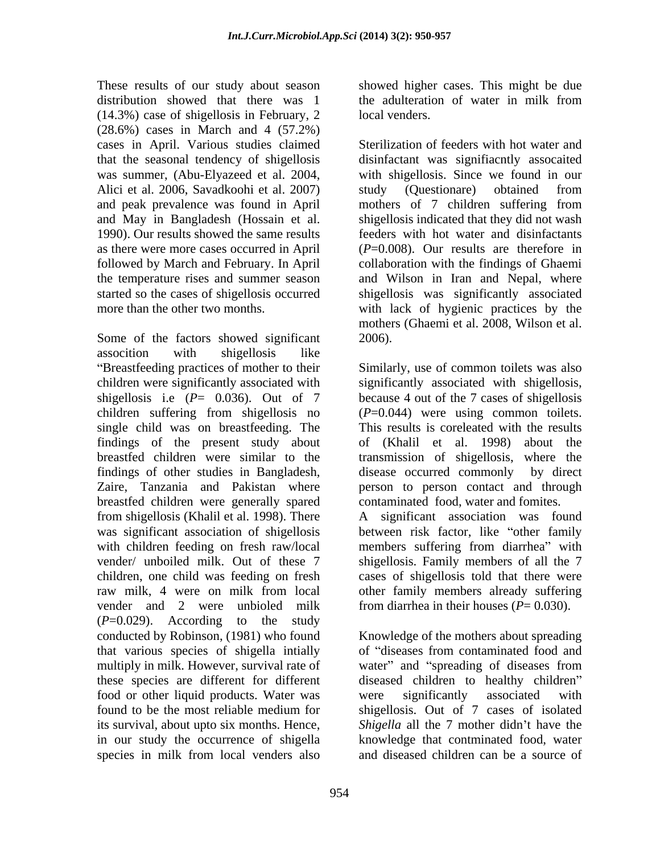These results of our study about season showed higher cases. This might be due distribution showed that there was 1 the adulteration of water in milk from (14.3%) case of shigellosis in February, 2 (28.6%) cases in March and 4 (57.2%) cases in April. Various studies claimed Alici et al. 2006, Savadkoohi et al. 2007) study (Questionare) obtained from and peak prevalence was found in April mothers of 7 children suffering from as there were more cases occurred in April

Some of the factors showed significant 2006). assocition with shigellosis like children suffering from shigellosis no single child was on breastfeeding. The findings of the present study about findings of other studies in Bangladesh, breastfed children were generally spared vender and 2 were unbioled milk (*P*=0.029). According to the study multiply in milk. However, survival rate of water" and "spreading of diseases from these species are different for different food or other liquid products. Water was were significantly associated with in our study the occurrence of shigella species in milk from local venders also

the adulteration of water in milk from local venders.

that the seasonal tendency of shigellosis disinfactant was signifiacntly assocaited was summer, (Abu-Elyazeed et al. 2004, with shigellosis. Since we found in our and May in Bangladesh (Hossain et al. shigellosis indicated that they did not wash 1990). Our results showed the same results feeders with hot water and disinfactants followed by March and February. In April collaboration with the findings of Ghaemi the temperature rises and summer season and Wilson in Iran and Nepal, where started so the cases of shigellosis occurred shigellosis was significantly associated more than the other two months. with lack of hygienic practices by the Sterilization of feeders with hot water and study (Questionare) obtained from mothers of 7 children suffering from (*P*=0.008). Our results are therefore in mothers (Ghaemi et al. 2008, Wilson et al. 2006).

Breastfeeding practices of mother to their Similarly, use of common toilets was also children were significantly associated with significantly associated with shigellosis, shigellosis i.e  $(P= 0.036)$ . Out of 7 because 4 out of the 7 cases of shigellosis breastfed children were similar to the transmission of shigellosis, where the Zaire, Tanzania and Pakistan where person to person contact and through (*P*=0.044) were using common toilets. This results is coreleated with the results of (Khalil et al. 1998) about the disease occurred commonly contaminated food, water and fomites.

from shigellosis (Khalil et al. 1998). There A significant association was found was significant association of shigellosis between risk factor, like "other family with children feeding on fresh raw/local members suffering from diarrhea" with vender/ unboiled milk. Out of these 7 shigellosis. Family members of all the 7 children, one child was feeding on fresh cases of shigellosis told that there were raw milk, 4 were on milk from local other family members already suffering from diarrhea in their houses  $(P= 0.030)$ .

conducted by Robinson, (1981) who found Knowledge of the mothers about spreading that various species of shigella intially of "diseases from contaminated food and found to be the most reliable medium for shigellosis. Out of 7 cases of isolated its survival, about upto six months. Hence, *Shigella* all the 7 mother didn't have the water" and "spreading of diseases from diseased children to healthy children" were significantly associated with knowledge that contminated food, water and diseased children can be a source of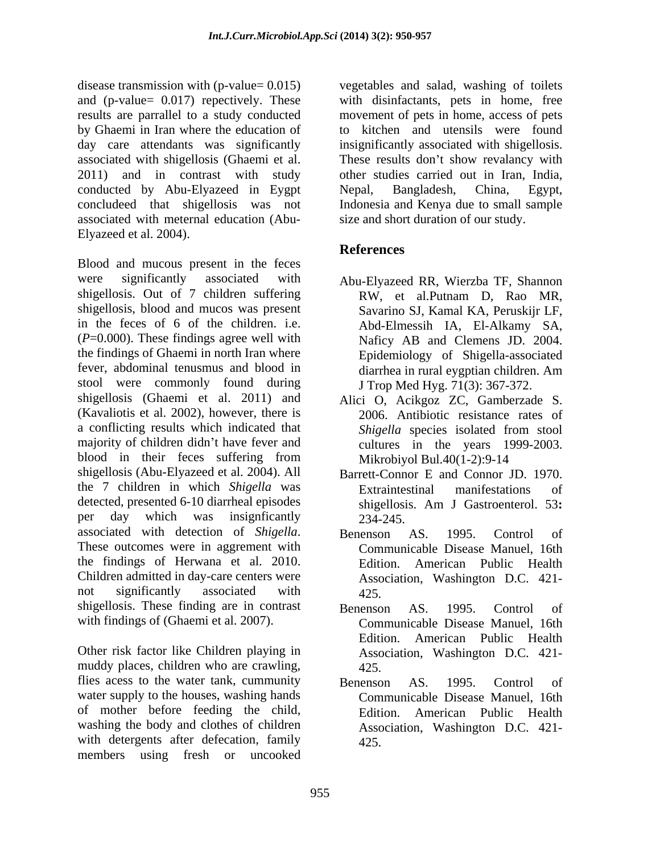disease transmission with (p-value= 0.015) vegetables and salad, washing of toilets and (p-value= 0.017) repectively. These with disinfactants, pets in home, free results are parrallel to a study conducted movement of pets in home, access of pets by Ghaemi in Iran where the education of to kitchen and utensils were found day care attendants was significantly insignificantly associated with shigellosis. associated with shigellosis (Ghaemi et al. These results don't show revalancy with 2011) and in contrast with study other studies carried out in Iran, India, conducted by Abu-Elyazeed in Eygpt concludeed that shigellosis was not Indonesia and Kenya due to small sample associated with meternal education (Abu- Elyazeed et al. 2004).

Blood and mucous present in the feces were significantly associated with Abu-Elyazeed RR, Wierzba TF, Shannon shigellosis. Out of 7 children suffering shigellosis, blood and mucos was present in the feces of 6 of the children. i.e. (*P*=0.000). These findings agree well with the findings of Ghaemi in north Iran where Epidemiology of Shigella-associated fever, abdominal tenusmus and blood in diarrhea in rural eygptian children. Am stool were commonly found during shigellosis (Ghaemi et al. 2011) and Alici O, Acikgoz ZC, Gamberzade S. (Kavaliotis et al. 2002), however, there is a conflicting results which indicated that Shigella species isolated from stool majority of children didn't have fever and cultures in the years 1999-2003. blood in their feces suffering from shigellosis (Abu-Elyazeed et al. 2004). All Barrett-Connor E and Connor JD. 1970. the 7 children in which *Shigella* was detected, presented 6-10 diarrheal episodes shigellosis. Am J Gastroenterol. 53: per day which was insignficantly  $23\tilde{4} - 245$ associated with detection of *Shigella*. Benenson AS. 1995. Control of These outcomes were in aggrement with Communicable Disease Manuel. 16th the findings of Herwana et al. 2010. Children admitted in day-care centers were not significantly associated with 425. shigellosis. These finding are in contrast Benenson AS. 1995. Control of with findings of (Ghaemi et al. 2007).

Other risk factor like Children playing in muddy places, children who are crawling,  $425$ . flies acess to the water tank, cummunity Benenson AS. 1995. Control of water supply to the houses, washing hands of mother before feeding the child, washing the body and clothes of children with detergents after defecation, family members using fresh or uncooked

Nepal, Bangladesh, China, Egypt, size and short duration of our study.

# **References**

- RW, et al.Putnam D, Rao MR, Savarino SJ, Kamal KA, Peruskijr LF, Abd-Elmessih IA, El-Alkamy SA, Naficy AB and Clemens JD. 2004. J Trop Med Hyg. 71(3): 367-372.
- 2006. Antibiotic resistance rates of *Shigella* species isolated from stool Mikrobiyol Bul.40(1-2):9-14
- Extraintestinal manifestations of shigellosis. Am J Gastroenterol. 53**:**  234-245.
- Benenson AS. 1995. Control of Communicable Disease Manuel, 16th Edition. American Public Health Association, Washington D.C. 421- 425.
- Benenson AS. 1995. Control of Communicable Disease Manuel, 16th Edition. American Public Health Association, Washington D.C. 421- 425.
- Benenson AS. 1995. Control of Communicable Disease Manuel, 16th Edition. American Public Health Association, Washington D.C. 421- 425.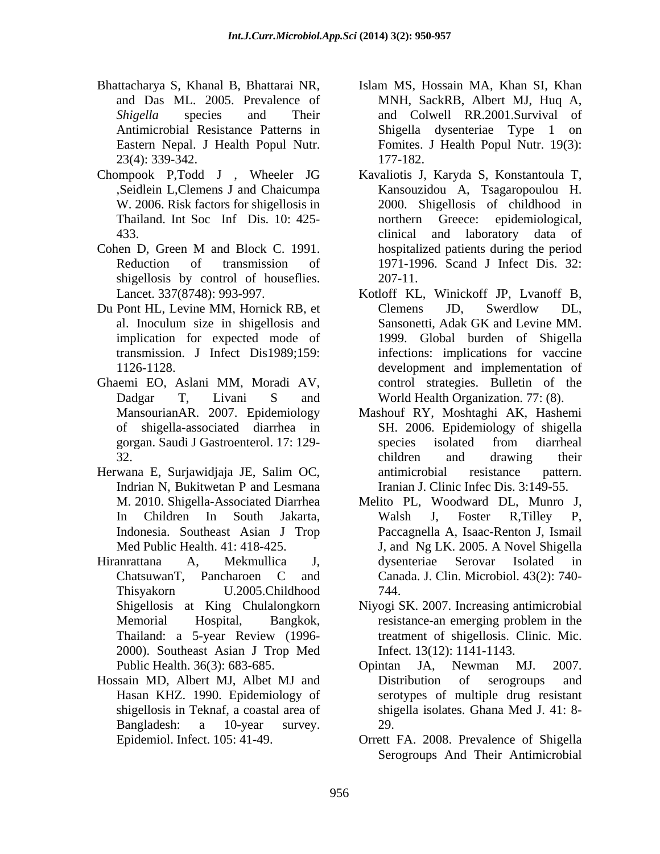- 23(4): 339-342.
- Chompook P,Todd J , Wheeler JG
- shigellosis by control of houseflies. 207-11.
- Du Pont HL, Levine MM, Hornick RB, et Clemens JD, Swerdlow DL, implication for expected mode of
- Ghaemi EO, Aslani MM, Moradi AV,
- Indrian N, Bukitwetan P and Lesmana
- 2000). Southeast Asian J Trop Med<br>
Public Health. 36(3): 683-685. (Dointan JA. Newman MJ.
- Hossain MD, Albert MJ, Albet MJ and shigellosis in Teknaf, a coastal area of
- Bhattacharya S, Khanal B, Bhattarai NR, Islam MS, Hossain MA, Khan SI, Khan and Das ML. 2005. Prevalence of MNH, SackRB, Albert MJ, Huq A, Shigella species and Their and Colwell RR.2001.Survival of Antimicrobial Resistance Patterns in Eastern Nepal. J Health Popul Nutr. Fomites. J Health Popul Nutr. 19(3): Shigella dysenteriae Type 1 177-182.
- ,Seidlein L,Clemens J and Chaicumpa Kansouzidou A, Tsagaropoulou H. W. 2006. Risk factors for shigellosis in 2000. Shigellosis of childhood in Thailand. Int Soc Inf Dis. 10: 425-<br>
morthern Greece: epidemiological, 433. All and the state of the clinical and laboratory data of Cohen D, Green M and Block C. 1991. hospitalized patients during the period Reduction of transmission of 1971-1996. Scand J Infect Dis. 32: Kavaliotis J, Karyda S, Konstantoula T, northern Greece: epidemiological, clinical and laboratory data of hospitalized patients during the period 207-11.
	- Lancet. 337(8748): 993-997. Kotloff KL, Winickoff JP, Lvanoff B, al. Inoculum size in shigellosis and transmission. J Infect Dis1989;159: infections: implications for vaccine 1126-1128. development and implementation of Dadgar T, Livani S and World Health Organization. 77: (8). Clemens JD, Swerdlow DL, Sansonetti, Adak GK and Levine MM. 1999. Global burden of Shigella control strategies. Bulletin of the
- MansourianAR. 2007. Epidemiology Mashouf RY, Moshtaghi AK, Hashemi of shigella-associated diarrhea in SH. 2006. Epidemiology of shigella gorgan. Saudi J Gastroenterol. 17: 129- 32. Children and drawing their Herwana E, Surjawidjaja JE, Salim OC, species isolated from diarrheal children and drawing their antimicrobial resistance pattern. Iranian J. Clinic Infec Dis. 3:149-55.
- M. 2010. Shigella-Associated Diarrhea Melito PL, Woodward DL, Munro J, In Children In South Jakarta, Indonesia. Southeast Asian J Trop Paccagnella A, Isaac-Renton J, Ismail Med Public Health. 41: 418-425. J, and Ng LK. 2005. A Novel Shigella Hiranrattana A, Mekmullica J, dysenteriae Serovar Isolated in ChatsuwanT, Pancharoen C and Canada. J. Clin. Microbiol. 43(2): 740- Thisyakorn U.2005.Childhood Walsh J, Foster R,Tilley P, 744.
	- Shigellosis at King Chulalongkorn Niyogi SK. 2007. Increasing antimicrobial Memorial Hospital, Bangkok, Thailand: a 5-year Review (1996 resistance-an emerging problem in the treatment of shigellosis. Clinic. Mic. Infect. 13(12): 1141-1143.
	- Public Health. 36(3): 683-685. Hasan KHZ. 1990. Epidemiology of serotypes of multiple drug resistant Bangladesh: a 10-year survey. Opintan JA, Newman MJ. 2007. Distribution of serogroups and shigella isolates. Ghana Med J. 41: 8- 29.
	- Epidemiol. Infect. 105: 41-49. Orrett FA. 2008.Prevalence of Shigella Serogroups And Their Antimicrobial